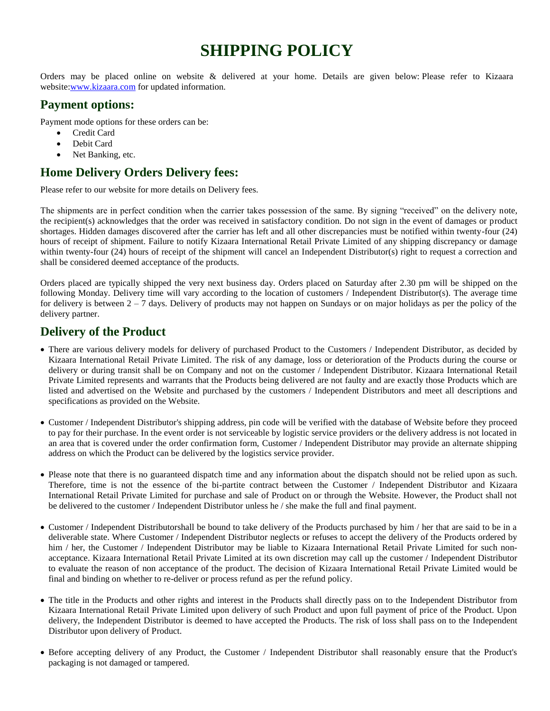# **SHIPPING POLICY**

Orders may be placed online on website & delivered at your home. Details are given below: Please refer to Kizaara website[:www.kizaara.com](http://www.kizaara.com/) for updated information.

#### **Payment options:**

Payment mode options for these orders can be:

- Credit Card
- Debit Card
- Net Banking, etc.

## **Home Delivery Orders Delivery fees:**

Please refer to our website for more details on Delivery fees.

The shipments are in perfect condition when the carrier takes possession of the same. By signing "received" on the delivery note, the recipient(s) acknowledges that the order was received in satisfactory condition. Do not sign in the event of damages or product shortages. Hidden damages discovered after the carrier has left and all other discrepancies must be notified within twenty-four (24) hours of receipt of shipment. Failure to notify Kizaara International Retail Private Limited of any shipping discrepancy or damage within twenty-four (24) hours of receipt of the shipment will cancel an Independent Distributor(s) right to request a correction and shall be considered deemed acceptance of the products.

Orders placed are typically shipped the very next business day. Orders placed on Saturday after 2.30 pm will be shipped on the following Monday. Delivery time will vary according to the location of customers / Independent Distributor(s). The average time for delivery is between  $2 - 7$  days. Delivery of products may not happen on Sundays or on major holidays as per the policy of the delivery partner.

## **Delivery of the Product**

- There are various delivery models for delivery of purchased Product to the Customers / Independent Distributor, as decided by Kizaara International Retail Private Limited. The risk of any damage, loss or deterioration of the Products during the course or delivery or during transit shall be on Company and not on the customer / Independent Distributor. Kizaara International Retail Private Limited represents and warrants that the Products being delivered are not faulty and are exactly those Products which are listed and advertised on the Website and purchased by the customers / Independent Distributors and meet all descriptions and specifications as provided on the Website.
- Customer / Independent Distributor's shipping address, pin code will be verified with the database of Website before they proceed to pay for their purchase. In the event order is not serviceable by logistic service providers or the delivery address is not located in an area that is covered under the order confirmation form, Customer / Independent Distributor may provide an alternate shipping address on which the Product can be delivered by the logistics service provider.
- Please note that there is no guaranteed dispatch time and any information about the dispatch should not be relied upon as such. Therefore, time is not the essence of the bi-partite contract between the Customer / Independent Distributor and Kizaara International Retail Private Limited for purchase and sale of Product on or through the Website. However, the Product shall not be delivered to the customer / Independent Distributor unless he / she make the full and final payment.
- Customer / Independent Distributorshall be bound to take delivery of the Products purchased by him / her that are said to be in a deliverable state. Where Customer / Independent Distributor neglects or refuses to accept the delivery of the Products ordered by him / her, the Customer / Independent Distributor may be liable to Kizaara International Retail Private Limited for such nonacceptance. Kizaara International Retail Private Limited at its own discretion may call up the customer / Independent Distributor to evaluate the reason of non acceptance of the product. The decision of Kizaara International Retail Private Limited would be final and binding on whether to re-deliver or process refund as per the refund policy.
- The title in the Products and other rights and interest in the Products shall directly pass on to the Independent Distributor from Kizaara International Retail Private Limited upon delivery of such Product and upon full payment of price of the Product. Upon delivery, the Independent Distributor is deemed to have accepted the Products. The risk of loss shall pass on to the Independent Distributor upon delivery of Product.
- Before accepting delivery of any Product, the Customer / Independent Distributor shall reasonably ensure that the Product's packaging is not damaged or tampered.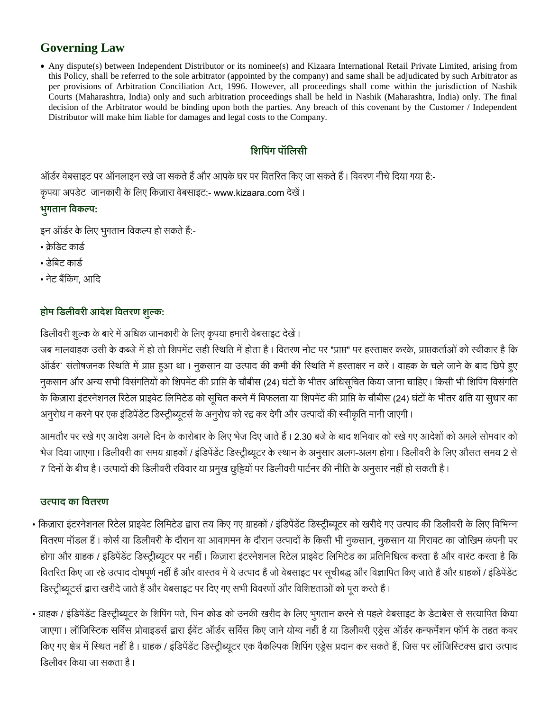# **Governing Law**

 Any dispute(s) between Independent Distributor or its nominee(s) and Kizaara International Retail Private Limited, arising from this Policy, shall be referred to the sole arbitrator (appointed by the company) and same shall be adjudicated by such Arbitrator as per provisions of Arbitration Conciliation Act, 1996. However, all proceedings shall come within the jurisdiction of Nashik Courts (Maharashtra, India) only and such arbitration proceedings shall be held in Nashik (Maharashtra, India) only. The final decision of the Arbitrator would be binding upon both the parties. Any breach of this covenant by the Customer / Independent Distributor will make him liable for damages and legal costs to the Company.

## शिपिंग पॉलिसी

ऑर्डर वेबसाइट पर ऑनलाइन रखे जा सकते हैं और आपके घर पर वितरित किए जा सकते हैं। विवरण नीचे दिया गया है:-कृपया अपडेट जानकारी के लिए किज़ारा वेबसाइट:- www.kizaara.com देखें।

## **:**

इन ऑर्डर के लिए भुगतान विकल्प हो सकते हैं:-

- क्रेडिट कार्ड
- डेबिट कार्ड
- नेट बैंकिंग. आदि

## होम डिलीवरी आदेश वितरण शुल्क:

डिलीवरी शुल्क के बारे में अधिक जानकारी के लिए कृपया हमारी वेबसाइट देखें।

जब मालवाहक उसी के कब्जे में हो तो शिपमेंट सही स्थिति में होता है। वितरण नोट पर "प्राप्त" पर हस्ताक्षर करके, प्राप्तकर्ताओं को स्वीकार है कि ऑर्डर` संतोषजनक स्थिति में प्राप्त हुआ था। नुकसान या उत्पाद की कमी की स्थिति में हस्ताक्षर न करें। वाहक के चले जाने के बाद छिपे हुए नुकसान और अन्य सभी विसंगतियों को शिपमेंट की प्राप्ति के चौबीस (24) घंटों के भीतर अधिसूचित किया जाना चाहिए। किसी भी शिपिंग विसंगति के किज़ारा इंटरनेशनल रिटेल प्राइवेट लिमिटेड को सूचित करने में विफलता या शिपमेंट की प्राप्ति के चौबीस (24) घंटों के भीतर क्षति या सुधार का अनुरोध न करने पर एक इंडिपेंडेंट डिस्ट्रीब्यूटर्स के अनुरोध को रद्द कर देगी और उत्पादों की स्वीकृति मानी जाएगी।

आमतौर पर रखे गए आदेश अगले दिन के कारोबार के लिए भेज दिए जाते हैं । 2.30 बजे के बाद शनिवार को रखे गए आदेशों को अगले सोमवार को भेज दिया जाएगा। डिलीवरी का समय ग्राहकों / इंडिपेंडेंट डिस्ट्रीब्यूटर के स्थान के अनुसार अलग-अलग होगा। डिलीवरी के लिए औसत समय 2 से 7 दिनों के बीच है। उत्पादों की डिलीवरी रविवार या प्रमुख छुट्टियों पर डिलीवरी पार्टनर की नीति के अनुसार नहीं हो सकती है।

#### उत्पाद का वितरण

- किज़ारा इंटरनेशनल रिटेल प्राइवेट लिमिटेड द्वारा तय किए गए ग्राहकों / इंडिपेंडेंट डिस्ट्रीब्यूटर को खरीदे गए उत्पाद की डिलीवरी के लिए विभिन्न वितरण मॉडल हैं। कोर्स या डिलीवरी के दौरान या आवागमन के दौरान उत्पादों के किसी भी नुकसान, नुकसान या गिरावट का जोखिम कंपनी पर होगा और ग्राहक / इंडिपेंडेंट डिस्ट्रीब्यूटर पर नहीं। किज़ारा इंटरनेशनल रिटेल प्राइवेट लिमिटेड का प्रतिनिधित्व करता है और वारंट करता है कि वितरित किए जा रहे उत्पाद दोषपूर्ण नहीं हैं और वास्तव में वे उत्पाद हैं जो वेबसाइट पर सूचीबद्ध और विज्ञापित किए जाते हैं और ग्राहकों / इंडिपेंडेंट डिस्ट्रीब्यूटर्स द्वारा खरीदे जाते हैं और वेबसाइट पर दिए गए सभी विवरणों और विशिष्टताओं को पूरा करते हैं।
- ग्राहक / इंडिपेंडेंट डिस्ट्रीब्यूटर के शिपिंग पते, पिन कोड को उनकी खरीद के लिए भूगतान करने से पहले वेबसाइट के डेटाबेस से सत्यापित किया जाएगा। लॉजिस्टिक सर्विस प्रोवाइडर्स द्वारा ईवेंट ऑर्डर सर्विस किए जाने योग्य नहीं है या डिलीवरी एड़ेस ऑर्डर कन्फर्मेशन फॉर्म के तहत कवर किए गए क्षेत्र में स्थित नहीं है। ग्राहक / इंडिपेंडेंट डिस्ट्रीब्यूटर एक वैकल्पिक शिपिंग एड्रेस प्रदान कर सकते हैं, जिस पर लॉजिस्टिक्स द्वारा उत्पाद डिलीवर किया जा सकता है।